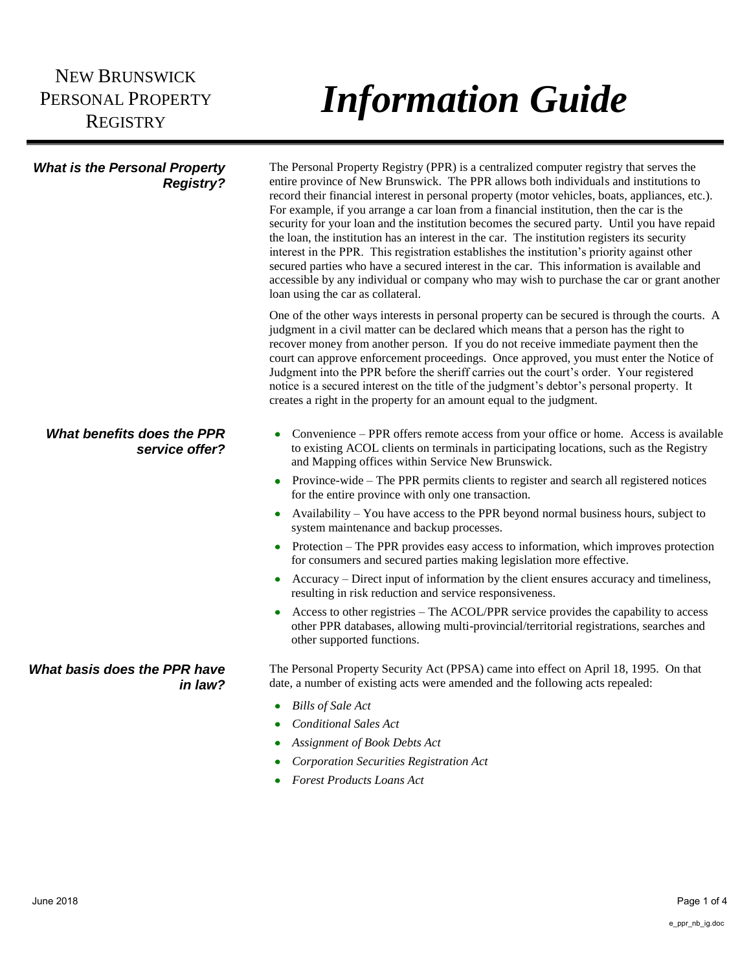## NEW BRUNSWICK PERSONAL PROPERTY **REGISTRY**

## *Information Guide*

| <b>What is the Personal Property</b><br><b>Registry?</b> | The Personal Property Registry (PPR) is a centralized computer registry that serves the<br>entire province of New Brunswick. The PPR allows both individuals and institutions to<br>record their financial interest in personal property (motor vehicles, boats, appliances, etc.).<br>For example, if you arrange a car loan from a financial institution, then the car is the<br>security for your loan and the institution becomes the secured party. Until you have repaid<br>the loan, the institution has an interest in the car. The institution registers its security<br>interest in the PPR. This registration establishes the institution's priority against other<br>secured parties who have a secured interest in the car. This information is available and<br>accessible by any individual or company who may wish to purchase the car or grant another<br>loan using the car as collateral. |
|----------------------------------------------------------|--------------------------------------------------------------------------------------------------------------------------------------------------------------------------------------------------------------------------------------------------------------------------------------------------------------------------------------------------------------------------------------------------------------------------------------------------------------------------------------------------------------------------------------------------------------------------------------------------------------------------------------------------------------------------------------------------------------------------------------------------------------------------------------------------------------------------------------------------------------------------------------------------------------|
|                                                          | One of the other ways interests in personal property can be secured is through the courts. A<br>judgment in a civil matter can be declared which means that a person has the right to<br>recover money from another person. If you do not receive immediate payment then the<br>court can approve enforcement proceedings. Once approved, you must enter the Notice of<br>Judgment into the PPR before the sheriff carries out the court's order. Your registered<br>notice is a secured interest on the title of the judgment's debtor's personal property. It<br>creates a right in the property for an amount equal to the judgment.                                                                                                                                                                                                                                                                      |
| What benefits does the PPR<br>service offer?             | Convenience – PPR offers remote access from your office or home. Access is available<br>to existing ACOL clients on terminals in participating locations, such as the Registry<br>and Mapping offices within Service New Brunswick.                                                                                                                                                                                                                                                                                                                                                                                                                                                                                                                                                                                                                                                                          |
|                                                          | Province-wide – The PPR permits clients to register and search all registered notices<br>$\bullet$<br>for the entire province with only one transaction.                                                                                                                                                                                                                                                                                                                                                                                                                                                                                                                                                                                                                                                                                                                                                     |
|                                                          | Availability – You have access to the PPR beyond normal business hours, subject to<br>$\bullet$<br>system maintenance and backup processes.                                                                                                                                                                                                                                                                                                                                                                                                                                                                                                                                                                                                                                                                                                                                                                  |
|                                                          | • Protection – The PPR provides easy access to information, which improves protection<br>for consumers and secured parties making legislation more effective.                                                                                                                                                                                                                                                                                                                                                                                                                                                                                                                                                                                                                                                                                                                                                |
|                                                          | Accuracy – Direct input of information by the client ensures accuracy and timeliness,<br>resulting in risk reduction and service responsiveness.                                                                                                                                                                                                                                                                                                                                                                                                                                                                                                                                                                                                                                                                                                                                                             |
|                                                          | Access to other registries – The ACOL/PPR service provides the capability to access<br>$\bullet$<br>other PPR databases, allowing multi-provincial/territorial registrations, searches and<br>other supported functions.                                                                                                                                                                                                                                                                                                                                                                                                                                                                                                                                                                                                                                                                                     |
| What basis does the PPR have<br>in law?                  | The Personal Property Security Act (PPSA) came into effect on April 18, 1995. On that<br>date, a number of existing acts were amended and the following acts repealed:                                                                                                                                                                                                                                                                                                                                                                                                                                                                                                                                                                                                                                                                                                                                       |
|                                                          | <b>Bills of Sale Act</b>                                                                                                                                                                                                                                                                                                                                                                                                                                                                                                                                                                                                                                                                                                                                                                                                                                                                                     |
|                                                          | <b>Conditional Sales Act</b>                                                                                                                                                                                                                                                                                                                                                                                                                                                                                                                                                                                                                                                                                                                                                                                                                                                                                 |
|                                                          | <b>Assignment of Book Debts Act</b>                                                                                                                                                                                                                                                                                                                                                                                                                                                                                                                                                                                                                                                                                                                                                                                                                                                                          |
|                                                          | Corporation Securities Registration Act                                                                                                                                                                                                                                                                                                                                                                                                                                                                                                                                                                                                                                                                                                                                                                                                                                                                      |
|                                                          | <b>Forest Products Loans Act</b>                                                                                                                                                                                                                                                                                                                                                                                                                                                                                                                                                                                                                                                                                                                                                                                                                                                                             |
|                                                          |                                                                                                                                                                                                                                                                                                                                                                                                                                                                                                                                                                                                                                                                                                                                                                                                                                                                                                              |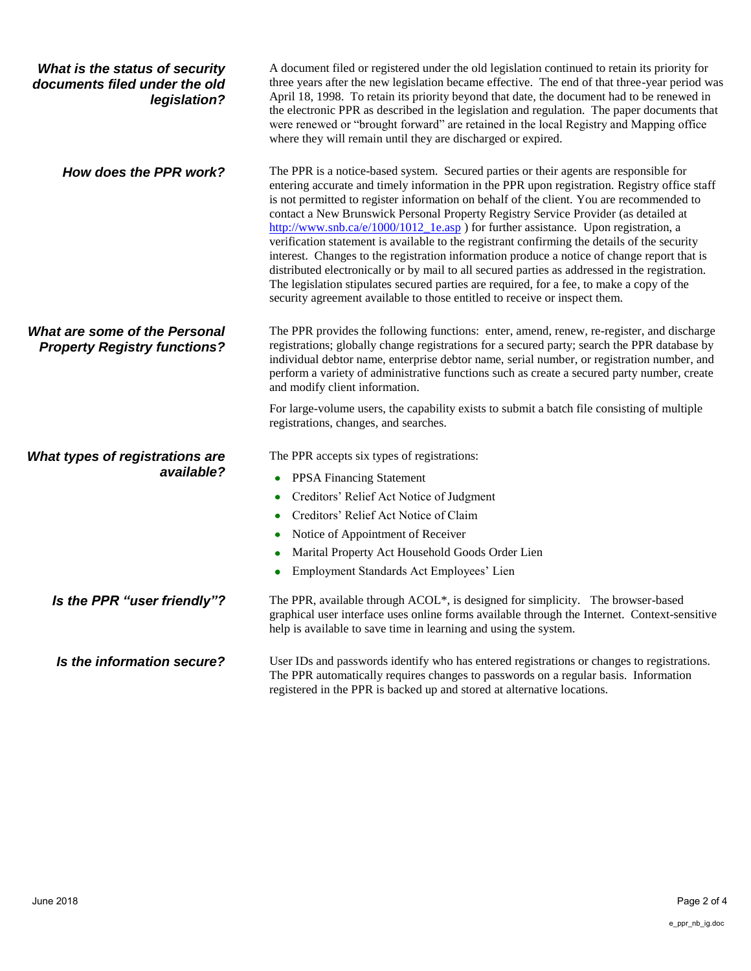| What is the status of security<br>documents filed under the old<br>legislation? | A document filed or registered under the old legislation continued to retain its priority for<br>three years after the new legislation became effective. The end of that three-year period was<br>April 18, 1998. To retain its priority beyond that date, the document had to be renewed in<br>the electronic PPR as described in the legislation and regulation. The paper documents that<br>were renewed or "brought forward" are retained in the local Registry and Mapping office<br>where they will remain until they are discharged or expired.                                                                                                                                                                                                                                                                                                                                                                                     |
|---------------------------------------------------------------------------------|--------------------------------------------------------------------------------------------------------------------------------------------------------------------------------------------------------------------------------------------------------------------------------------------------------------------------------------------------------------------------------------------------------------------------------------------------------------------------------------------------------------------------------------------------------------------------------------------------------------------------------------------------------------------------------------------------------------------------------------------------------------------------------------------------------------------------------------------------------------------------------------------------------------------------------------------|
| How does the PPR work?                                                          | The PPR is a notice-based system. Secured parties or their agents are responsible for<br>entering accurate and timely information in the PPR upon registration. Registry office staff<br>is not permitted to register information on behalf of the client. You are recommended to<br>contact a New Brunswick Personal Property Registry Service Provider (as detailed at<br>http://www.snb.ca/e/1000/1012_1e.asp) for further assistance. Upon registration, a<br>verification statement is available to the registrant confirming the details of the security<br>interest. Changes to the registration information produce a notice of change report that is<br>distributed electronically or by mail to all secured parties as addressed in the registration.<br>The legislation stipulates secured parties are required, for a fee, to make a copy of the<br>security agreement available to those entitled to receive or inspect them. |
| What are some of the Personal<br><b>Property Registry functions?</b>            | The PPR provides the following functions: enter, amend, renew, re-register, and discharge<br>registrations; globally change registrations for a secured party; search the PPR database by<br>individual debtor name, enterprise debtor name, serial number, or registration number, and<br>perform a variety of administrative functions such as create a secured party number, create<br>and modify client information.                                                                                                                                                                                                                                                                                                                                                                                                                                                                                                                   |
|                                                                                 | For large-volume users, the capability exists to submit a batch file consisting of multiple<br>registrations, changes, and searches.                                                                                                                                                                                                                                                                                                                                                                                                                                                                                                                                                                                                                                                                                                                                                                                                       |
| What types of registrations are<br>available?                                   | The PPR accepts six types of registrations:<br><b>PPSA Financing Statement</b><br>$\bullet$<br>Creditors' Relief Act Notice of Judgment<br>۰<br>Creditors' Relief Act Notice of Claim<br>Notice of Appointment of Receiver<br>Marital Property Act Household Goods Order Lien<br>Employment Standards Act Employees' Lien                                                                                                                                                                                                                                                                                                                                                                                                                                                                                                                                                                                                                  |
| Is the PPR "user friendly"?                                                     | The PPR, available through ACOL*, is designed for simplicity. The browser-based<br>graphical user interface uses online forms available through the Internet. Context-sensitive<br>help is available to save time in learning and using the system.                                                                                                                                                                                                                                                                                                                                                                                                                                                                                                                                                                                                                                                                                        |
| Is the information secure?                                                      | User IDs and passwords identify who has entered registrations or changes to registrations.<br>The PPR automatically requires changes to passwords on a regular basis. Information<br>registered in the PPR is backed up and stored at alternative locations.                                                                                                                                                                                                                                                                                                                                                                                                                                                                                                                                                                                                                                                                               |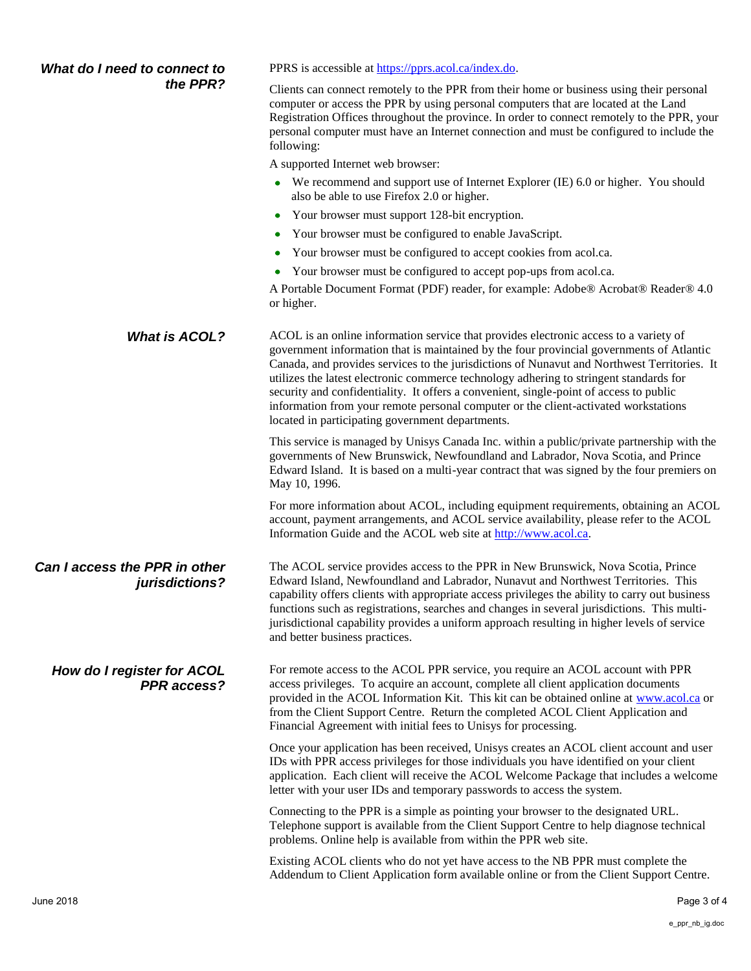| What do I need to connect to<br>the PPR?        | PPRS is accessible at https://pprs.acol.ca/index.do.                                                                                                                                                                                                                                                                                                                                                                                                                                                                                                                                                            |
|-------------------------------------------------|-----------------------------------------------------------------------------------------------------------------------------------------------------------------------------------------------------------------------------------------------------------------------------------------------------------------------------------------------------------------------------------------------------------------------------------------------------------------------------------------------------------------------------------------------------------------------------------------------------------------|
|                                                 | Clients can connect remotely to the PPR from their home or business using their personal<br>computer or access the PPR by using personal computers that are located at the Land<br>Registration Offices throughout the province. In order to connect remotely to the PPR, your<br>personal computer must have an Internet connection and must be configured to include the<br>following:                                                                                                                                                                                                                        |
|                                                 | A supported Internet web browser:                                                                                                                                                                                                                                                                                                                                                                                                                                                                                                                                                                               |
|                                                 | We recommend and support use of Internet Explorer (IE) 6.0 or higher. You should<br>۰<br>also be able to use Firefox 2.0 or higher.                                                                                                                                                                                                                                                                                                                                                                                                                                                                             |
|                                                 | Your browser must support 128-bit encryption.                                                                                                                                                                                                                                                                                                                                                                                                                                                                                                                                                                   |
|                                                 | Your browser must be configured to enable JavaScript.                                                                                                                                                                                                                                                                                                                                                                                                                                                                                                                                                           |
|                                                 | Your browser must be configured to accept cookies from acol.ca.<br>٠                                                                                                                                                                                                                                                                                                                                                                                                                                                                                                                                            |
|                                                 | Your browser must be configured to accept pop-ups from acol.ca.                                                                                                                                                                                                                                                                                                                                                                                                                                                                                                                                                 |
|                                                 | A Portable Document Format (PDF) reader, for example: Adobe® Acrobat® Reader® 4.0<br>or higher.                                                                                                                                                                                                                                                                                                                                                                                                                                                                                                                 |
| <b>What is ACOL?</b>                            | ACOL is an online information service that provides electronic access to a variety of<br>government information that is maintained by the four provincial governments of Atlantic<br>Canada, and provides services to the jurisdictions of Nunavut and Northwest Territories. It<br>utilizes the latest electronic commerce technology adhering to stringent standards for<br>security and confidentiality. It offers a convenient, single-point of access to public<br>information from your remote personal computer or the client-activated workstations<br>located in participating government departments. |
|                                                 | This service is managed by Unisys Canada Inc. within a public/private partnership with the<br>governments of New Brunswick, Newfoundland and Labrador, Nova Scotia, and Prince<br>Edward Island. It is based on a multi-year contract that was signed by the four premiers on<br>May 10, 1996.                                                                                                                                                                                                                                                                                                                  |
|                                                 | For more information about ACOL, including equipment requirements, obtaining an ACOL<br>account, payment arrangements, and ACOL service availability, please refer to the ACOL<br>Information Guide and the ACOL web site at http://www.acol.ca.                                                                                                                                                                                                                                                                                                                                                                |
| Can I access the PPR in other<br>jurisdictions? | The ACOL service provides access to the PPR in New Brunswick, Nova Scotia, Prince<br>Edward Island, Newfoundland and Labrador, Nunavut and Northwest Territories. This<br>capability offers clients with appropriate access privileges the ability to carry out business<br>functions such as registrations, searches and changes in several jurisdictions. This multi-<br>jurisdictional capability provides a uniform approach resulting in higher levels of service<br>and better business practices.                                                                                                        |
| How do I register for ACOL<br>PPR access?       | For remote access to the ACOL PPR service, you require an ACOL account with PPR<br>access privileges. To acquire an account, complete all client application documents<br>provided in the ACOL Information Kit. This kit can be obtained online at www.acol.ca or<br>from the Client Support Centre. Return the completed ACOL Client Application and<br>Financial Agreement with initial fees to Unisys for processing.                                                                                                                                                                                        |
|                                                 | Once your application has been received, Unisys creates an ACOL client account and user<br>IDs with PPR access privileges for those individuals you have identified on your client<br>application. Each client will receive the ACOL Welcome Package that includes a welcome<br>letter with your user IDs and temporary passwords to access the system.                                                                                                                                                                                                                                                         |
|                                                 | Connecting to the PPR is a simple as pointing your browser to the designated URL.<br>Telephone support is available from the Client Support Centre to help diagnose technical<br>problems. Online help is available from within the PPR web site.                                                                                                                                                                                                                                                                                                                                                               |
|                                                 | Existing ACOL clients who do not yet have access to the NB PPR must complete the<br>Addendum to Client Application form available online or from the Client Support Centre.                                                                                                                                                                                                                                                                                                                                                                                                                                     |
| June 2018                                       | Page 3 of 4                                                                                                                                                                                                                                                                                                                                                                                                                                                                                                                                                                                                     |